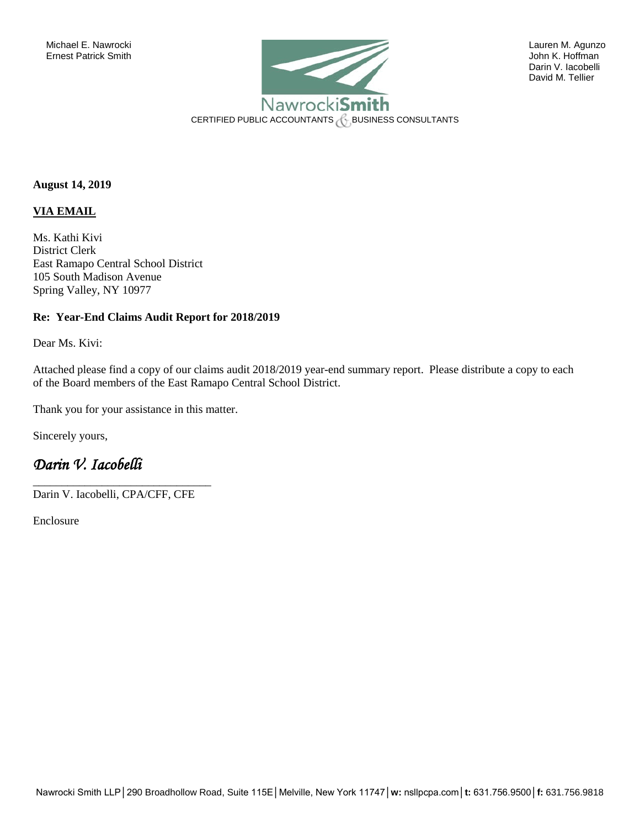

David M. Tellier

**August 14, 2019** 

#### **VIA EMAIL**

Ms. Kathi Kivi District Clerk East Ramapo Central School District 105 South Madison Avenue Spring Valley, NY 10977

#### **Re: Year-End Claims Audit Report for 2018/2019**

Dear Ms. Kivi:

Attached please find a copy of our claims audit 2018/2019 year-end summary report. Please distribute a copy to each of the Board members of the East Ramapo Central School District.

Thank you for your assistance in this matter.

Sincerely yours,

### *Darin V. Iacobelli*

Darin V. Iacobelli, CPA/CFF, CFE

\_\_\_\_\_\_\_\_\_\_\_\_\_\_\_\_\_\_\_\_\_\_\_\_\_\_\_\_\_\_\_

Enclosure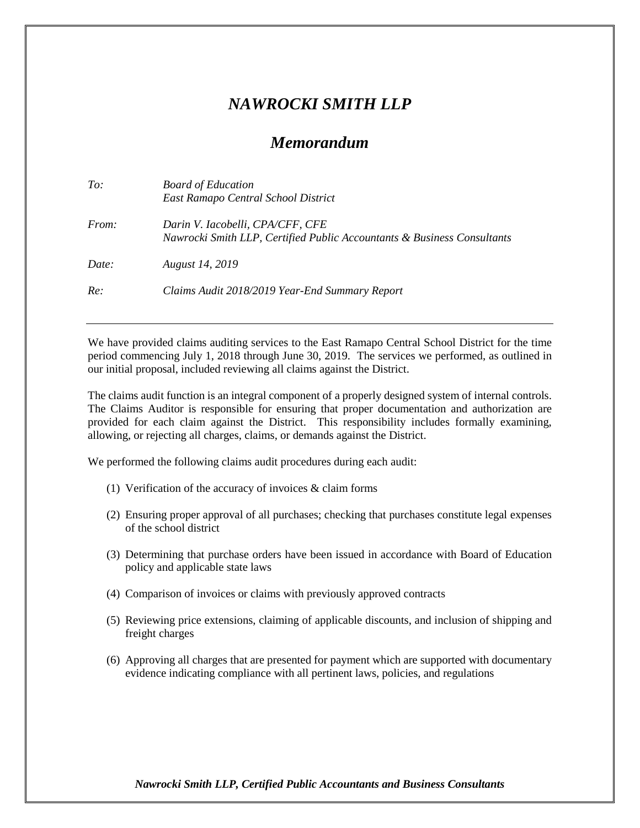# *NAWROCKI SMITH LLP*

## *Memorandum*

| To:          | <b>Board of Education</b><br>East Ramapo Central School District                                            |
|--------------|-------------------------------------------------------------------------------------------------------------|
| <i>From:</i> | Darin V. Iacobelli, CPA/CFF, CFE<br>Nawrocki Smith LLP, Certified Public Accountants & Business Consultants |
| Date:        | <b>August</b> 14, 2019                                                                                      |
| Re:          | Claims Audit 2018/2019 Year-End Summary Report                                                              |

We have provided claims auditing services to the East Ramapo Central School District for the time period commencing July 1, 2018 through June 30, 2019. The services we performed, as outlined in our initial proposal, included reviewing all claims against the District.

The claims audit function is an integral component of a properly designed system of internal controls. The Claims Auditor is responsible for ensuring that proper documentation and authorization are provided for each claim against the District. This responsibility includes formally examining, allowing, or rejecting all charges, claims, or demands against the District.

We performed the following claims audit procedures during each audit:

- (1) Verification of the accuracy of invoices & claim forms
- (2) Ensuring proper approval of all purchases; checking that purchases constitute legal expenses of the school district
- (3) Determining that purchase orders have been issued in accordance with Board of Education policy and applicable state laws
- (4) Comparison of invoices or claims with previously approved contracts
- (5) Reviewing price extensions, claiming of applicable discounts, and inclusion of shipping and freight charges
- (6) Approving all charges that are presented for payment which are supported with documentary evidence indicating compliance with all pertinent laws, policies, and regulations

*Nawrocki Smith LLP, Certified Public Accountants and Business Consultants*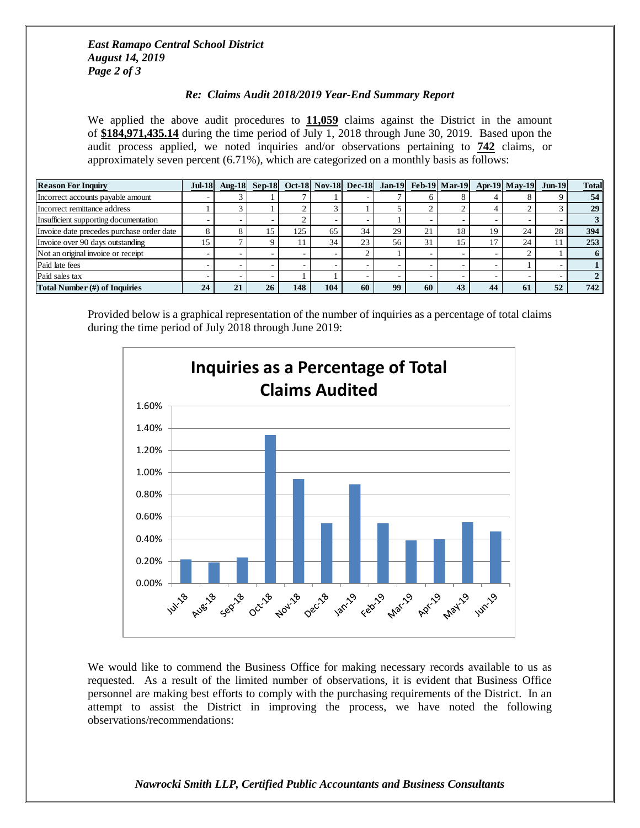### *East Ramapo Central School District August 14, 2019 Page 2 of 3*

### *Re: Claims Audit 2018/2019 Year-End Summary Report*

We applied the above audit procedures to  $11,059$  claims against the District in the amount of **\$184,971,435.14** during the time period of July 1, 2018 through June 30, 2019. Based upon the audit process applied, we noted inquiries and/or observations pertaining to **742** claims, or approximately seven percent (6.71%), which are categorized on a monthly basis as follows:

| <b>Reason For Inquiry</b>                 |    |    |    |     |     |    |    |           |    |    | Jul-18 Aug-18 Sep-18 Oct-18 Nov-18 Dec-18 Jan-19 Feb-19 Mar-19 Apr-19 May-19 Jun-19 |    | <b>Total</b> |
|-------------------------------------------|----|----|----|-----|-----|----|----|-----------|----|----|-------------------------------------------------------------------------------------|----|--------------|
| Incorrect accounts payable amount         |    |    |    |     |     |    |    |           |    |    |                                                                                     |    | 54           |
| Incorrect remittance address              |    |    |    |     |     |    |    |           |    |    |                                                                                     |    | 29           |
| Insufficient supporting documentation     |    |    |    |     |     |    |    |           |    |    |                                                                                     |    |              |
| Invoice date precedes purchase order date |    |    |    | 125 | 65  | 34 | 29 | $\bigcap$ | 18 | 19 | 24                                                                                  | 28 | 394          |
| Invoice over 90 days outstanding          | 15 |    |    |     | 34  | 23 | 56 | 31        | د، | 17 | 24                                                                                  |    | 253          |
| Not an original invoice or receipt        |    |    |    |     |     |    |    |           |    |    |                                                                                     |    |              |
| Paid late fees                            |    |    |    |     |     |    |    |           |    |    |                                                                                     |    |              |
| Paid sales tax                            |    |    |    |     |     |    |    |           |    |    |                                                                                     |    |              |
| Total Number (#) of Inquiries             | 24 | 21 | 26 | 148 | 104 | 60 | 99 | 60        | 43 | 44 | 61                                                                                  | 52 | 742          |

Provided below is a graphical representation of the number of inquiries as a percentage of total claims during the time period of July 2018 through June 2019:



We would like to commend the Business Office for making necessary records available to us as requested. As a result of the limited number of observations, it is evident that Business Office personnel are making best efforts to comply with the purchasing requirements of the District. In an attempt to assist the District in improving the process, we have noted the following observations/recommendations:

### *Nawrocki Smith LLP, Certified Public Accountants and Business Consultants*